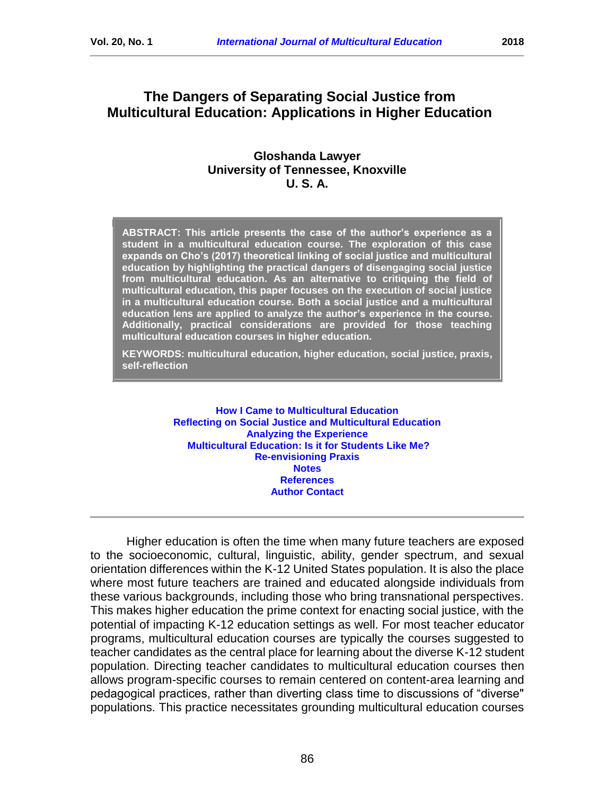# **The Dangers of Separating Social Justice from Multicultural Education: Applications in Higher Education**

### **Gloshanda Lawyer University of Tennessee, Knoxville U. S. A.**

**ABSTRACT: This article presents the case of the author's experience as a student in a multicultural education course. The exploration of this case expands on Cho's (2017) theoretical linking of social justice and multicultural education by highlighting the practical dangers of disengaging social justice from multicultural education. As an alternative to critiquing the field of multicultural education, this paper focuses on the execution of social justice in a multicultural education course. Both a social justice and a multicultural education lens are applied to analyze the author's experience in the course. Additionally, practical considerations are provided for those teaching multicultural education courses in higher education.**

**KEYWORDS: multicultural education, higher education, social justice, praxis, self-reflection**

> **[How I Came to Multicultural Education](#page-1-0) [Reflecting on Social Justice and Multicultural Education](#page-3-0) [Analyzing the Experience](#page-4-0) [Multicultural Education: Is it for Students Like Me?](#page-7-0) [Re-envisioning Praxis](#page-9-0) [Notes](#page-11-0) [References](#page-12-0) [Author Contact](#page-15-0)**

Higher education is often the time when many future teachers are exposed to the socioeconomic, cultural, linguistic, ability, gender spectrum, and sexual orientation differences within the K-12 United States population. It is also the place where most future teachers are trained and educated alongside individuals from these various backgrounds, including those who bring transnational perspectives. This makes higher education the prime context for enacting social justice, with the potential of impacting K-12 education settings as well. For most teacher educator programs, multicultural education courses are typically the courses suggested to teacher candidates as the central place for learning about the diverse K-12 student population. Directing teacher candidates to multicultural education courses then allows program-specific courses to remain centered on content-area learning and pedagogical practices, rather than diverting class time to discussions of "diverse" populations. This practice necessitates grounding multicultural education courses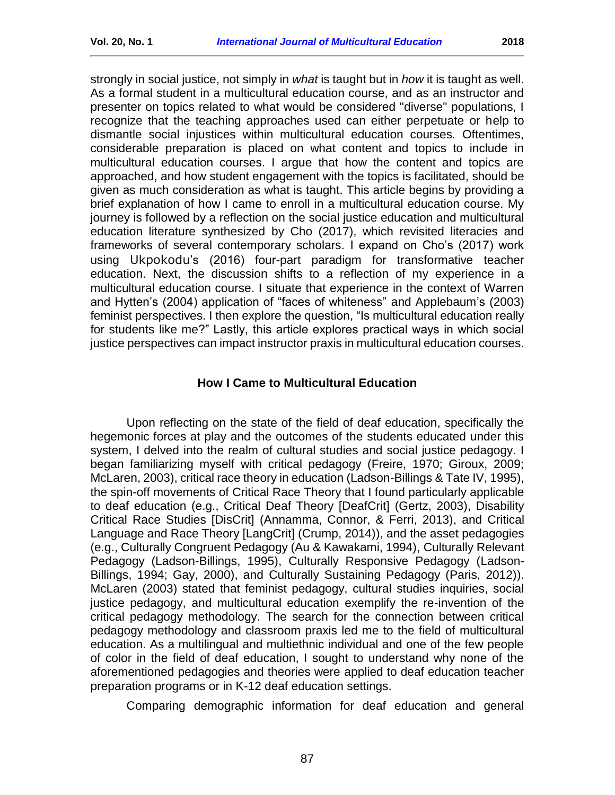strongly in social justice, not simply in *what* is taught but in *how* it is taught as well. As a formal student in a multicultural education course, and as an instructor and presenter on topics related to what would be considered "diverse" populations, I recognize that the teaching approaches used can either perpetuate or help to dismantle social injustices within multicultural education courses. Oftentimes, considerable preparation is placed on what content and topics to include in multicultural education courses. I argue that how the content and topics are approached, and how student engagement with the topics is facilitated, should be given as much consideration as what is taught. This article begins by providing a brief explanation of how I came to enroll in a multicultural education course. My journey is followed by a reflection on the social justice education and multicultural education literature synthesized by Cho (2017), which revisited literacies and frameworks of several contemporary scholars. I expand on Cho's (2017) work using Ukpokodu's (2016) four-part paradigm for transformative teacher education. Next, the discussion shifts to a reflection of my experience in a multicultural education course. I situate that experience in the context of Warren and Hytten's (2004) application of "faces of whiteness" and Applebaum's (2003) feminist perspectives. I then explore the question, "Is multicultural education really for students like me?" Lastly, this article explores practical ways in which social justice perspectives can impact instructor praxis in multicultural education courses.

#### **How I Came to Multicultural Education**

<span id="page-1-0"></span>Upon reflecting on the state of the field of deaf education, specifically the hegemonic forces at play and the outcomes of the students educated under this system, I delved into the realm of cultural studies and social justice pedagogy. I began familiarizing myself with critical pedagogy (Freire, 1970; Giroux, 2009; McLaren, 2003), critical race theory in education (Ladson-Billings & Tate IV, 1995), the spin-off movements of Critical Race Theory that I found particularly applicable to deaf education (e.g., Critical Deaf Theory [DeafCrit] (Gertz, 2003), Disability Critical Race Studies [DisCrit] (Annamma, Connor, & Ferri, 2013), and Critical Language and Race Theory [LangCrit] (Crump, 2014)), and the asset pedagogies (e.g., Culturally Congruent Pedagogy (Au & Kawakami, 1994), Culturally Relevant Pedagogy (Ladson-Billings, 1995), Culturally Responsive Pedagogy (Ladson-Billings, 1994; Gay, 2000), and Culturally Sustaining Pedagogy (Paris, 2012)). McLaren (2003) stated that feminist pedagogy, cultural studies inquiries, social justice pedagogy, and multicultural education exemplify the re-invention of the critical pedagogy methodology. The search for the connection between critical pedagogy methodology and classroom praxis led me to the field of multicultural education. As a multilingual and multiethnic individual and one of the few people of color in the field of deaf education, I sought to understand why none of the aforementioned pedagogies and theories were applied to deaf education teacher preparation programs or in K-12 deaf education settings.

Comparing demographic information for deaf education and general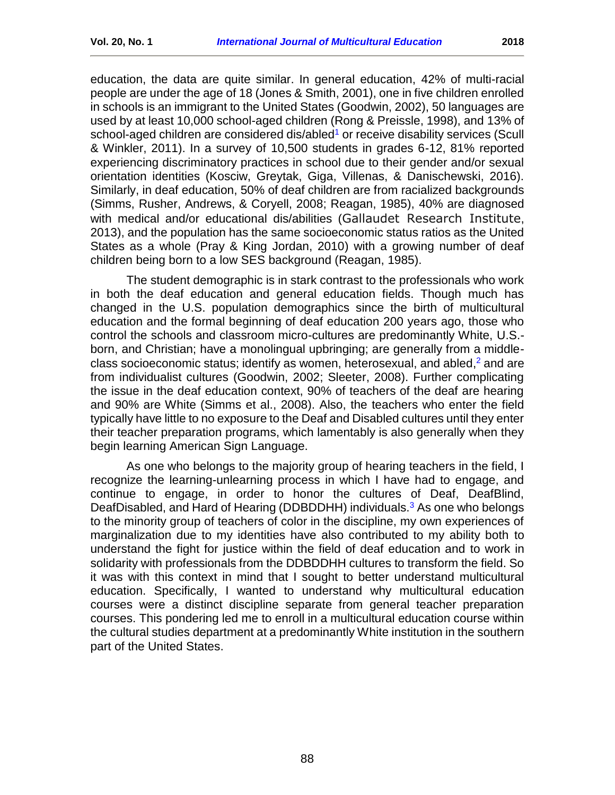education, the data are quite similar. In general education, 42% of multi-racial people are under the age of 18 (Jones & Smith, 2001), one in five children enrolled in schools is an immigrant to the United States (Goodwin, 2002), 50 languages are used by at least 10,000 school-aged children (Rong & Preissle, 1998), and 13% of school-aged children are considered dis/abled<sup>[1](#page-11-1)</sup> or receive disability services (Scull & Winkler, 2011). In a survey of 10,500 students in grades 6-12, 81% reported experiencing discriminatory practices in school due to their gender and/or sexual orientation identities (Kosciw, Greytak, Giga, Villenas, & Danischewski, 2016). Similarly, in deaf education, 50% of deaf children are from racialized backgrounds (Simms, Rusher, Andrews, & Coryell, 2008; Reagan, 1985), 40% are diagnosed with medical and/or educational dis/abilities (Gallaudet Research Institute, 2013), and the population has the same socioeconomic status ratios as the United States as a whole (Pray & King Jordan, 2010) with a growing number of deaf children being born to a low SES background (Reagan, 1985).

The student demographic is in stark contrast to the professionals who work in both the deaf education and general education fields. Though much has changed in the U.S. population demographics since the birth of multicultural education and the formal beginning of deaf education 200 years ago, those who control the schools and classroom micro-cultures are predominantly White, U.S. born, and Christian; have a monolingual upbringing; are generally from a middle-class socioeconomic status; identify as women, heterosexual, and abled,<sup>[2](#page-12-1)</sup> and are from individualist cultures (Goodwin, 2002; Sleeter, 2008). Further complicating the issue in the deaf education context, 90% of teachers of the deaf are hearing and 90% are White (Simms et al., 2008). Also, the teachers who enter the field typically have little to no exposure to the Deaf and Disabled cultures until they enter their teacher preparation programs, which lamentably is also generally when they begin learning American Sign Language.

As one who belongs to the majority group of hearing teachers in the field, I recognize the learning-unlearning process in which I have had to engage, and continue to engage, in order to honor the cultures of Deaf, DeafBlind, DeafDisabled, and Hard of Hearing (DDBDDHH) individuals.<sup>[3](#page-12-2)</sup> As one who belongs to the minority group of teachers of color in the discipline, my own experiences of marginalization due to my identities have also contributed to my ability both to understand the fight for justice within the field of deaf education and to work in solidarity with professionals from the DDBDDHH cultures to transform the field. So it was with this context in mind that I sought to better understand multicultural education. Specifically, I wanted to understand why multicultural education courses were a distinct discipline separate from general teacher preparation courses. This pondering led me to enroll in a multicultural education course within the cultural studies department at a predominantly White institution in the southern part of the United States.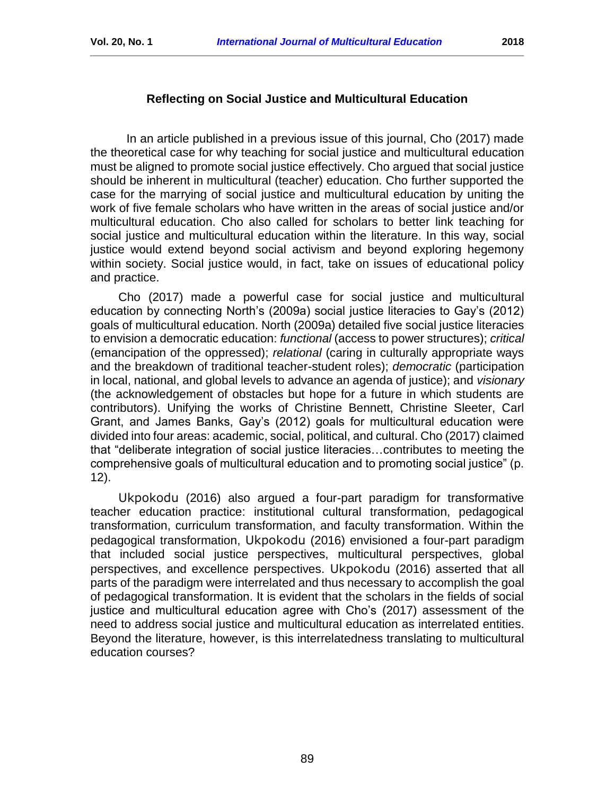### **Reflecting on Social Justice and Multicultural Education**

<span id="page-3-0"></span>In an article published in a previous issue of this journal, Cho (2017) made the theoretical case for why teaching for social justice and multicultural education must be aligned to promote social justice effectively. Cho argued that social justice should be inherent in multicultural (teacher) education. Cho further supported the case for the marrying of social justice and multicultural education by uniting the work of five female scholars who have written in the areas of social justice and/or multicultural education. Cho also called for scholars to better link teaching for social justice and multicultural education within the literature. In this way, social justice would extend beyond social activism and beyond exploring hegemony within society. Social justice would, in fact, take on issues of educational policy and practice.

Cho (2017) made a powerful case for social justice and multicultural education by connecting North's (2009a) social justice literacies to Gay's (2012) goals of multicultural education. North (2009a) detailed five social justice literacies to envision a democratic education: *functional* (access to power structures); *critical* (emancipation of the oppressed); *relational* (caring in culturally appropriate ways and the breakdown of traditional teacher-student roles); *democratic* (participation in local, national, and global levels to advance an agenda of justice); and *visionary* (the acknowledgement of obstacles but hope for a future in which students are contributors). Unifying the works of Christine Bennett, Christine Sleeter, Carl Grant, and James Banks, Gay's (2012) goals for multicultural education were divided into four areas: academic, social, political, and cultural. Cho (2017) claimed that "deliberate integration of social justice literacies…contributes to meeting the comprehensive goals of multicultural education and to promoting social justice" (p. 12).

Ukpokodu (2016) also argued a four-part paradigm for transformative teacher education practice: institutional cultural transformation, pedagogical transformation, curriculum transformation, and faculty transformation. Within the pedagogical transformation, Ukpokodu (2016) envisioned a four-part paradigm that included social justice perspectives, multicultural perspectives, global perspectives, and excellence perspectives. Ukpokodu (2016) asserted that all parts of the paradigm were interrelated and thus necessary to accomplish the goal of pedagogical transformation. It is evident that the scholars in the fields of social justice and multicultural education agree with Cho's (2017) assessment of the need to address social justice and multicultural education as interrelated entities. Beyond the literature, however, is this interrelatedness translating to multicultural education courses?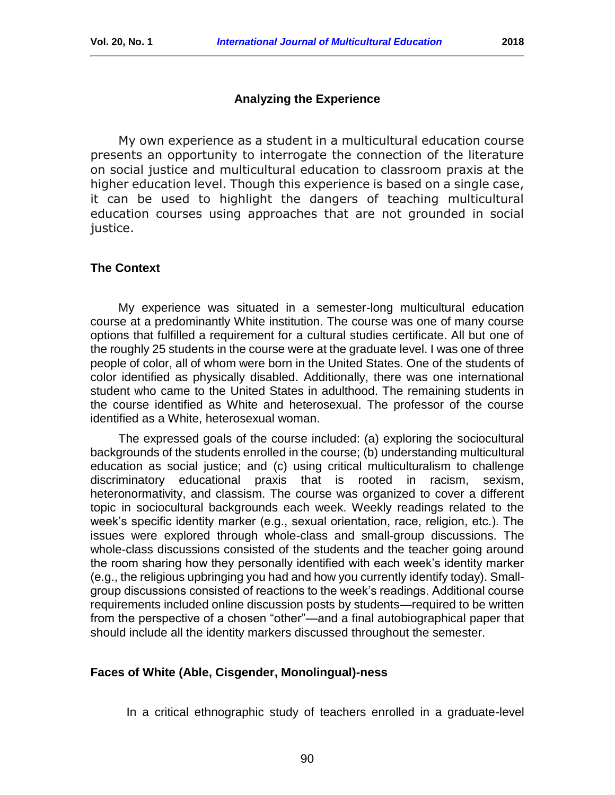### **Analyzing the Experience**

<span id="page-4-0"></span>My own experience as a student in a multicultural education course presents an opportunity to interrogate the connection of the literature on social justice and multicultural education to classroom praxis at the higher education level. Though this experience is based on a single case, it can be used to highlight the dangers of teaching multicultural education courses using approaches that are not grounded in social justice.

### **The Context**

My experience was situated in a semester-long multicultural education course at a predominantly White institution. The course was one of many course options that fulfilled a requirement for a cultural studies certificate. All but one of the roughly 25 students in the course were at the graduate level. I was one of three people of color, all of whom were born in the United States. One of the students of color identified as physically disabled. Additionally, there was one international student who came to the United States in adulthood. The remaining students in the course identified as White and heterosexual. The professor of the course identified as a White, heterosexual woman.

The expressed goals of the course included: (a) exploring the sociocultural backgrounds of the students enrolled in the course; (b) understanding multicultural education as social justice; and (c) using critical multiculturalism to challenge discriminatory educational praxis that is rooted in racism, sexism, heteronormativity, and classism. The course was organized to cover a different topic in sociocultural backgrounds each week. Weekly readings related to the week's specific identity marker (e.g., sexual orientation, race, religion, etc.). The issues were explored through whole-class and small-group discussions. The whole-class discussions consisted of the students and the teacher going around the room sharing how they personally identified with each week's identity marker (e.g., the religious upbringing you had and how you currently identify today). Smallgroup discussions consisted of reactions to the week's readings. Additional course requirements included online discussion posts by students—required to be written from the perspective of a chosen "other"—and a final autobiographical paper that should include all the identity markers discussed throughout the semester.

### **Faces of White (Able, Cisgender, Monolingual)-ness**

In a critical ethnographic study of teachers enrolled in a graduate-level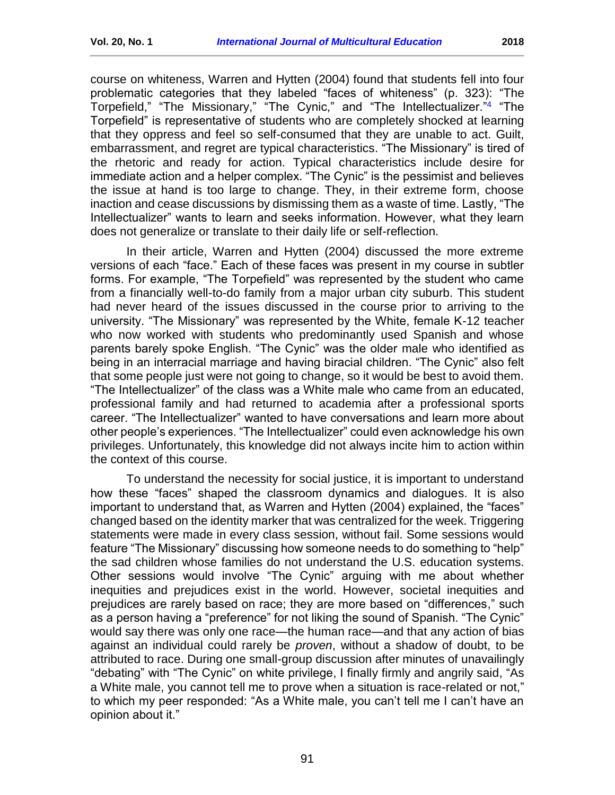course on whiteness, Warren and Hytten (2004) found that students fell into four problematic categories that they labeled "faces of whiteness" (p. 323): "The Torpefield," "The Missionary," "The Cynic," and "The Intellectualizer." [4](#page-12-3) "The Torpefield" is representative of students who are completely shocked at learning that they oppress and feel so self-consumed that they are unable to act. Guilt, embarrassment, and regret are typical characteristics. "The Missionary" is tired of the rhetoric and ready for action. Typical characteristics include desire for immediate action and a helper complex. "The Cynic" is the pessimist and believes the issue at hand is too large to change. They, in their extreme form, choose inaction and cease discussions by dismissing them as a waste of time. Lastly, "The Intellectualizer" wants to learn and seeks information. However, what they learn does not generalize or translate to their daily life or self-reflection.

In their article, Warren and Hytten (2004) discussed the more extreme versions of each "face." Each of these faces was present in my course in subtler forms. For example, "The Torpefield" was represented by the student who came from a financially well-to-do family from a major urban city suburb. This student had never heard of the issues discussed in the course prior to arriving to the university. "The Missionary" was represented by the White, female K-12 teacher who now worked with students who predominantly used Spanish and whose parents barely spoke English. "The Cynic" was the older male who identified as being in an interracial marriage and having biracial children. "The Cynic" also felt that some people just were not going to change, so it would be best to avoid them. "The Intellectualizer" of the class was a White male who came from an educated, professional family and had returned to academia after a professional sports career. "The Intellectualizer" wanted to have conversations and learn more about other people's experiences. "The Intellectualizer" could even acknowledge his own privileges. Unfortunately, this knowledge did not always incite him to action within the context of this course.

To understand the necessity for social justice, it is important to understand how these "faces" shaped the classroom dynamics and dialogues. It is also important to understand that, as Warren and Hytten (2004) explained, the "faces" changed based on the identity marker that was centralized for the week. Triggering statements were made in every class session, without fail. Some sessions would feature "The Missionary" discussing how someone needs to do something to "help" the sad children whose families do not understand the U.S. education systems. Other sessions would involve "The Cynic" arguing with me about whether inequities and prejudices exist in the world. However, societal inequities and prejudices are rarely based on race; they are more based on "differences," such as a person having a "preference" for not liking the sound of Spanish. "The Cynic" would say there was only one race—the human race—and that any action of bias against an individual could rarely be *proven*, without a shadow of doubt, to be attributed to race. During one small-group discussion after minutes of unavailingly "debating" with "The Cynic" on white privilege, I finally firmly and angrily said, "As a White male, you cannot tell me to prove when a situation is race-related or not," to which my peer responded: "As a White male, you can't tell me I can't have an opinion about it."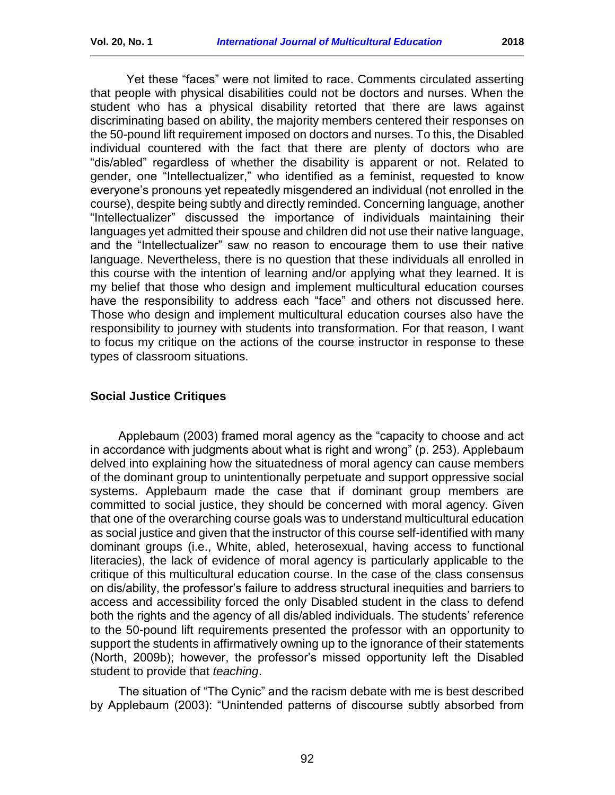Yet these "faces" were not limited to race. Comments circulated asserting that people with physical disabilities could not be doctors and nurses. When the student who has a physical disability retorted that there are laws against discriminating based on ability, the majority members centered their responses on the 50-pound lift requirement imposed on doctors and nurses. To this, the Disabled individual countered with the fact that there are plenty of doctors who are "dis/abled" regardless of whether the disability is apparent or not. Related to gender, one "Intellectualizer," who identified as a feminist, requested to know everyone's pronouns yet repeatedly misgendered an individual (not enrolled in the course), despite being subtly and directly reminded. Concerning language, another "Intellectualizer" discussed the importance of individuals maintaining their languages yet admitted their spouse and children did not use their native language, and the "Intellectualizer" saw no reason to encourage them to use their native language. Nevertheless, there is no question that these individuals all enrolled in this course with the intention of learning and/or applying what they learned. It is my belief that those who design and implement multicultural education courses have the responsibility to address each "face" and others not discussed here. Those who design and implement multicultural education courses also have the responsibility to journey with students into transformation. For that reason, I want to focus my critique on the actions of the course instructor in response to these types of classroom situations.

## **Social Justice Critiques**

Applebaum (2003) framed moral agency as the "capacity to choose and act in accordance with judgments about what is right and wrong" (p. 253). Applebaum delved into explaining how the situatedness of moral agency can cause members of the dominant group to unintentionally perpetuate and support oppressive social systems. Applebaum made the case that if dominant group members are committed to social justice, they should be concerned with moral agency. Given that one of the overarching course goals was to understand multicultural education as social justice and given that the instructor of this course self-identified with many dominant groups (i.e., White, abled, heterosexual, having access to functional literacies), the lack of evidence of moral agency is particularly applicable to the critique of this multicultural education course. In the case of the class consensus on dis/ability, the professor's failure to address structural inequities and barriers to access and accessibility forced the only Disabled student in the class to defend both the rights and the agency of all dis/abled individuals. The students' reference to the 50-pound lift requirements presented the professor with an opportunity to support the students in affirmatively owning up to the ignorance of their statements (North, 2009b); however, the professor's missed opportunity left the Disabled student to provide that *teaching*.

The situation of "The Cynic" and the racism debate with me is best described by Applebaum (2003): "Unintended patterns of discourse subtly absorbed from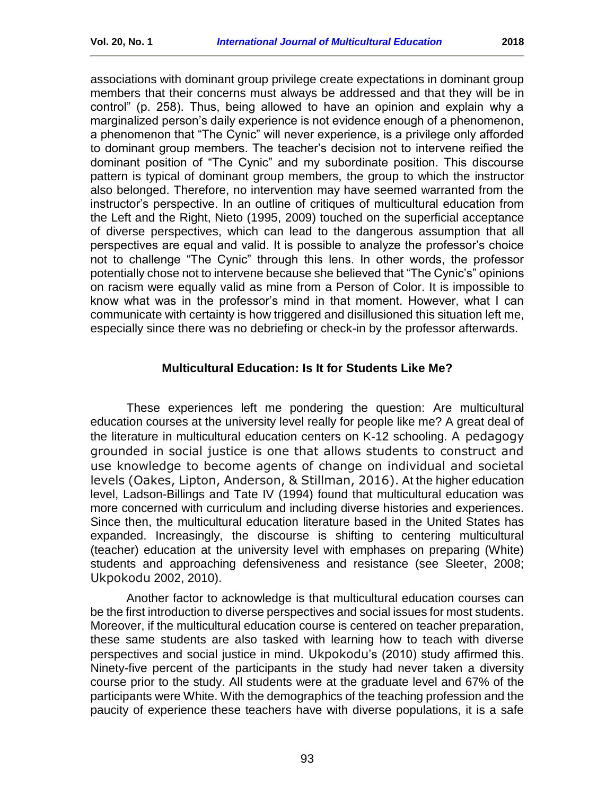associations with dominant group privilege create expectations in dominant group members that their concerns must always be addressed and that they will be in control" (p. 258). Thus, being allowed to have an opinion and explain why a marginalized person's daily experience is not evidence enough of a phenomenon, a phenomenon that "The Cynic" will never experience, is a privilege only afforded to dominant group members. The teacher's decision not to intervene reified the dominant position of "The Cynic" and my subordinate position. This discourse pattern is typical of dominant group members, the group to which the instructor also belonged. Therefore, no intervention may have seemed warranted from the instructor's perspective. In an outline of critiques of multicultural education from the Left and the Right, Nieto (1995, 2009) touched on the superficial acceptance of diverse perspectives, which can lead to the dangerous assumption that all perspectives are equal and valid. It is possible to analyze the professor's choice not to challenge "The Cynic" through this lens. In other words, the professor potentially chose not to intervene because she believed that "The Cynic's" opinions on racism were equally valid as mine from a Person of Color. It is impossible to know what was in the professor's mind in that moment. However, what I can communicate with certainty is how triggered and disillusioned this situation left me, especially since there was no debriefing or check-in by the professor afterwards.

### **Multicultural Education: Is It for Students Like Me?**

<span id="page-7-0"></span>These experiences left me pondering the question: Are multicultural education courses at the university level really for people like me? A great deal of the literature in multicultural education centers on K-12 schooling. A pedagogy grounded in social justice is one that allows students to construct and use knowledge to become agents of change on individual and societal levels (Oakes, Lipton, Anderson, & Stillman, 2016). At the higher education level, Ladson-Billings and Tate IV (1994) found that multicultural education was more concerned with curriculum and including diverse histories and experiences. Since then, the multicultural education literature based in the United States has expanded. Increasingly, the discourse is shifting to centering multicultural (teacher) education at the university level with emphases on preparing (White) students and approaching defensiveness and resistance (see Sleeter, 2008; Ukpokodu 2002, 2010).

Another factor to acknowledge is that multicultural education courses can be the first introduction to diverse perspectives and social issues for most students. Moreover, if the multicultural education course is centered on teacher preparation, these same students are also tasked with learning how to teach with diverse perspectives and social justice in mind. Ukpokodu's (2010) study affirmed this. Ninety-five percent of the participants in the study had never taken a diversity course prior to the study. All students were at the graduate level and 67% of the participants were White. With the demographics of the teaching profession and the paucity of experience these teachers have with diverse populations, it is a safe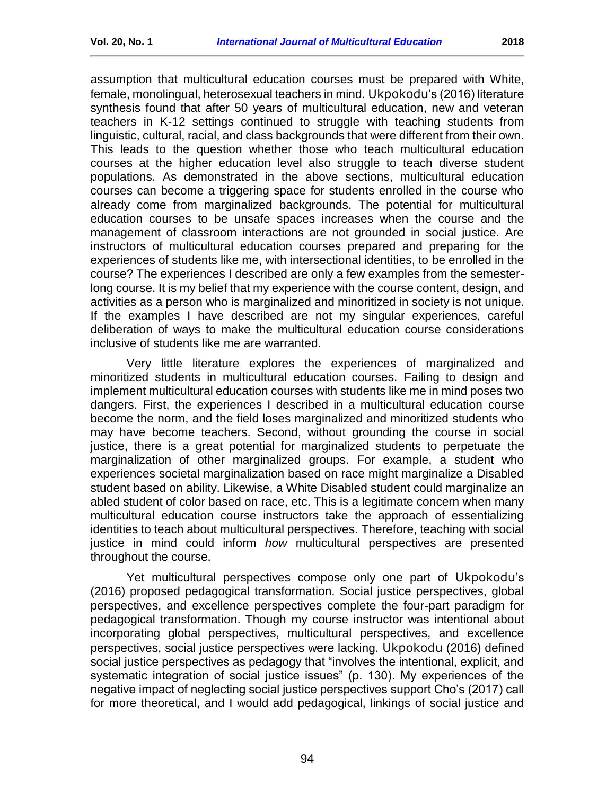assumption that multicultural education courses must be prepared with White, female, monolingual, heterosexual teachers in mind. Ukpokodu's (2016) literature synthesis found that after 50 years of multicultural education, new and veteran teachers in K-12 settings continued to struggle with teaching students from linguistic, cultural, racial, and class backgrounds that were different from their own. This leads to the question whether those who teach multicultural education courses at the higher education level also struggle to teach diverse student populations. As demonstrated in the above sections, multicultural education courses can become a triggering space for students enrolled in the course who already come from marginalized backgrounds. The potential for multicultural education courses to be unsafe spaces increases when the course and the management of classroom interactions are not grounded in social justice. Are instructors of multicultural education courses prepared and preparing for the experiences of students like me, with intersectional identities, to be enrolled in the course? The experiences I described are only a few examples from the semesterlong course. It is my belief that my experience with the course content, design, and activities as a person who is marginalized and minoritized in society is not unique. If the examples I have described are not my singular experiences, careful deliberation of ways to make the multicultural education course considerations inclusive of students like me are warranted.

Very little literature explores the experiences of marginalized and minoritized students in multicultural education courses. Failing to design and implement multicultural education courses with students like me in mind poses two dangers. First, the experiences I described in a multicultural education course become the norm, and the field loses marginalized and minoritized students who may have become teachers. Second, without grounding the course in social justice, there is a great potential for marginalized students to perpetuate the marginalization of other marginalized groups. For example, a student who experiences societal marginalization based on race might marginalize a Disabled student based on ability. Likewise, a White Disabled student could marginalize an abled student of color based on race, etc. This is a legitimate concern when many multicultural education course instructors take the approach of essentializing identities to teach about multicultural perspectives. Therefore, teaching with social justice in mind could inform *how* multicultural perspectives are presented throughout the course.

Yet multicultural perspectives compose only one part of Ukpokodu's (2016) proposed pedagogical transformation. Social justice perspectives, global perspectives, and excellence perspectives complete the four-part paradigm for pedagogical transformation. Though my course instructor was intentional about incorporating global perspectives, multicultural perspectives, and excellence perspectives, social justice perspectives were lacking. Ukpokodu (2016) defined social justice perspectives as pedagogy that "involves the intentional, explicit, and systematic integration of social justice issues" (p. 130). My experiences of the negative impact of neglecting social justice perspectives support Cho's (2017) call for more theoretical, and I would add pedagogical, linkings of social justice and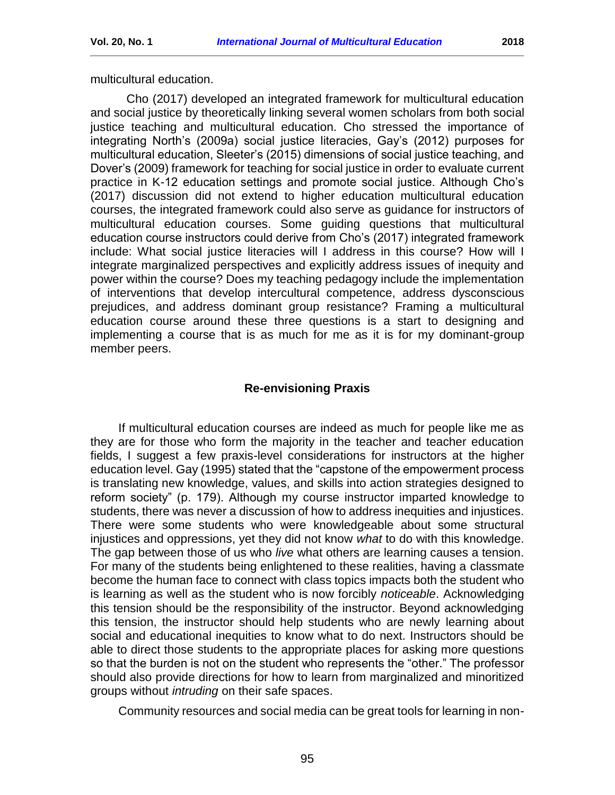multicultural education.

Cho (2017) developed an integrated framework for multicultural education and social justice by theoretically linking several women scholars from both social justice teaching and multicultural education. Cho stressed the importance of integrating North's (2009a) social justice literacies, Gay's (2012) purposes for multicultural education, Sleeter's (2015) dimensions of social justice teaching, and Dover's (2009) framework for teaching for social justice in order to evaluate current practice in K-12 education settings and promote social justice. Although Cho's (2017) discussion did not extend to higher education multicultural education courses, the integrated framework could also serve as guidance for instructors of multicultural education courses. Some guiding questions that multicultural education course instructors could derive from Cho's (2017) integrated framework include: What social justice literacies will I address in this course? How will I integrate marginalized perspectives and explicitly address issues of inequity and power within the course? Does my teaching pedagogy include the implementation of interventions that develop intercultural competence, address dysconscious prejudices, and address dominant group resistance? Framing a multicultural education course around these three questions is a start to designing and implementing a course that is as much for me as it is for my dominant-group member peers.

### **Re-envisioning Praxis**

<span id="page-9-0"></span>If multicultural education courses are indeed as much for people like me as they are for those who form the majority in the teacher and teacher education fields, I suggest a few praxis-level considerations for instructors at the higher education level. Gay (1995) stated that the "capstone of the empowerment process is translating new knowledge, values, and skills into action strategies designed to reform society" (p. 179). Although my course instructor imparted knowledge to students, there was never a discussion of how to address inequities and injustices. There were some students who were knowledgeable about some structural injustices and oppressions, yet they did not know *what* to do with this knowledge. The gap between those of us who *live* what others are learning causes a tension. For many of the students being enlightened to these realities, having a classmate become the human face to connect with class topics impacts both the student who is learning as well as the student who is now forcibly *noticeable*. Acknowledging this tension should be the responsibility of the instructor. Beyond acknowledging this tension, the instructor should help students who are newly learning about social and educational inequities to know what to do next. Instructors should be able to direct those students to the appropriate places for asking more questions so that the burden is not on the student who represents the "other." The professor should also provide directions for how to learn from marginalized and minoritized groups without *intruding* on their safe spaces.

Community resources and social media can be great tools for learning in non-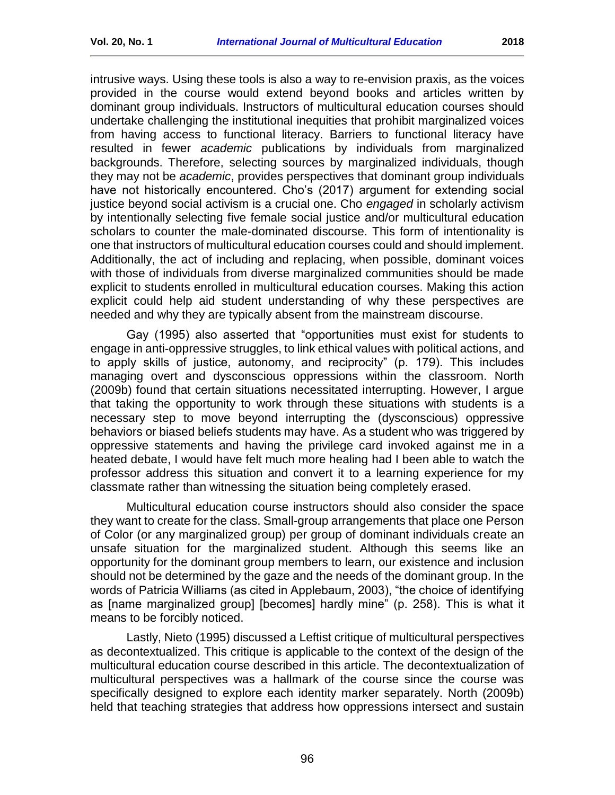intrusive ways. Using these tools is also a way to re-envision praxis, as the voices provided in the course would extend beyond books and articles written by dominant group individuals. Instructors of multicultural education courses should undertake challenging the institutional inequities that prohibit marginalized voices from having access to functional literacy. Barriers to functional literacy have resulted in fewer *academic* publications by individuals from marginalized backgrounds. Therefore, selecting sources by marginalized individuals, though they may not be *academic*, provides perspectives that dominant group individuals have not historically encountered. Cho's (2017) argument for extending social justice beyond social activism is a crucial one. Cho *engaged* in scholarly activism by intentionally selecting five female social justice and/or multicultural education scholars to counter the male-dominated discourse. This form of intentionality is one that instructors of multicultural education courses could and should implement. Additionally, the act of including and replacing, when possible, dominant voices with those of individuals from diverse marginalized communities should be made explicit to students enrolled in multicultural education courses. Making this action explicit could help aid student understanding of why these perspectives are needed and why they are typically absent from the mainstream discourse.

Gay (1995) also asserted that "opportunities must exist for students to engage in anti-oppressive struggles, to link ethical values with political actions, and to apply skills of justice, autonomy, and reciprocity" (p. 179). This includes managing overt and dysconscious oppressions within the classroom. North (2009b) found that certain situations necessitated interrupting. However, I argue that taking the opportunity to work through these situations with students is a necessary step to move beyond interrupting the (dysconscious) oppressive behaviors or biased beliefs students may have. As a student who was triggered by oppressive statements and having the privilege card invoked against me in a heated debate, I would have felt much more healing had I been able to watch the professor address this situation and convert it to a learning experience for my classmate rather than witnessing the situation being completely erased.

Multicultural education course instructors should also consider the space they want to create for the class. Small-group arrangements that place one Person of Color (or any marginalized group) per group of dominant individuals create an unsafe situation for the marginalized student. Although this seems like an opportunity for the dominant group members to learn, our existence and inclusion should not be determined by the gaze and the needs of the dominant group. In the words of Patricia Williams (as cited in Applebaum, 2003), "the choice of identifying as [name marginalized group] [becomes] hardly mine" (p. 258). This is what it means to be forcibly noticed.

Lastly, Nieto (1995) discussed a Leftist critique of multicultural perspectives as decontextualized. This critique is applicable to the context of the design of the multicultural education course described in this article. The decontextualization of multicultural perspectives was a hallmark of the course since the course was specifically designed to explore each identity marker separately. North (2009b) held that teaching strategies that address how oppressions intersect and sustain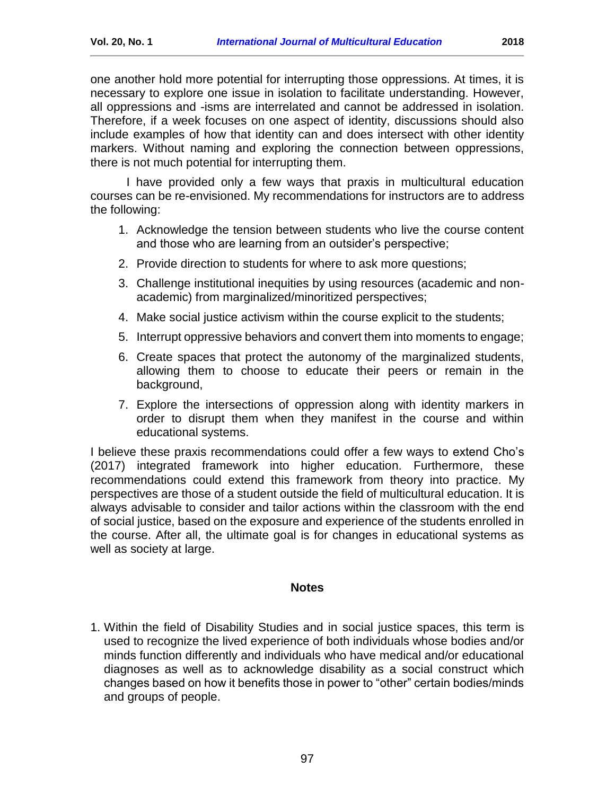one another hold more potential for interrupting those oppressions. At times, it is necessary to explore one issue in isolation to facilitate understanding. However, all oppressions and -isms are interrelated and cannot be addressed in isolation. Therefore, if a week focuses on one aspect of identity, discussions should also include examples of how that identity can and does intersect with other identity markers. Without naming and exploring the connection between oppressions, there is not much potential for interrupting them.

I have provided only a few ways that praxis in multicultural education courses can be re-envisioned. My recommendations for instructors are to address the following:

- 1. Acknowledge the tension between students who live the course content and those who are learning from an outsider's perspective;
- 2. Provide direction to students for where to ask more questions;
- 3. Challenge institutional inequities by using resources (academic and nonacademic) from marginalized/minoritized perspectives;
- 4. Make social justice activism within the course explicit to the students;
- 5. Interrupt oppressive behaviors and convert them into moments to engage;
- 6. Create spaces that protect the autonomy of the marginalized students, allowing them to choose to educate their peers or remain in the background,
- 7. Explore the intersections of oppression along with identity markers in order to disrupt them when they manifest in the course and within educational systems.

I believe these praxis recommendations could offer a few ways to extend Cho's (2017) integrated framework into higher education. Furthermore, these recommendations could extend this framework from theory into practice. My perspectives are those of a student outside the field of multicultural education. It is always advisable to consider and tailor actions within the classroom with the end of social justice, based on the exposure and experience of the students enrolled in the course. After all, the ultimate goal is for changes in educational systems as well as society at large.

#### **Notes**

<span id="page-11-1"></span><span id="page-11-0"></span>1. Within the field of Disability Studies and in social justice spaces, this term is used to recognize the lived experience of both individuals whose bodies and/or minds function differently and individuals who have medical and/or educational diagnoses as well as to acknowledge disability as a social construct which changes based on how it benefits those in power to "other" certain bodies/minds and groups of people.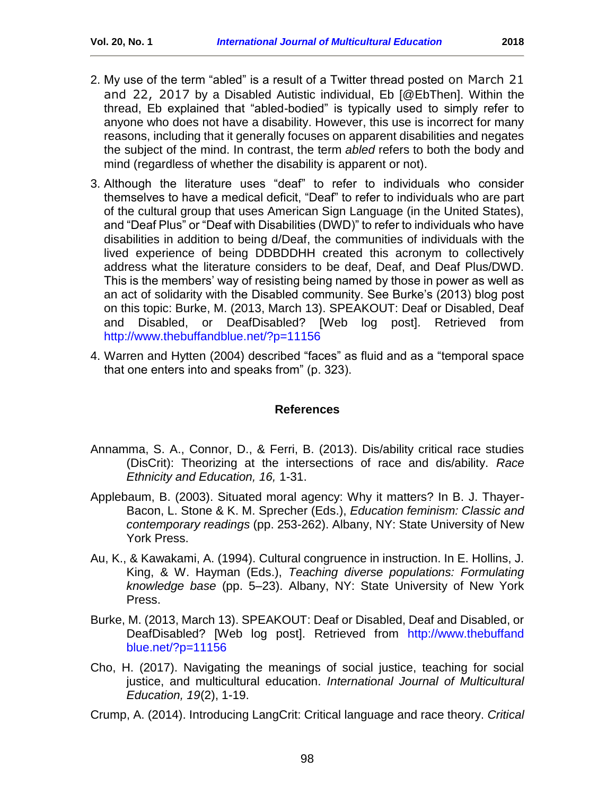- <span id="page-12-1"></span>2. My use of the term "abled" is a result of a Twitter thread posted on March 21 and 22, 2017 by a Disabled Autistic individual, Eb [@EbThen]. Within the thread, Eb explained that "abled-bodied" is typically used to simply refer to anyone who does not have a disability. However, this use is incorrect for many reasons, including that it generally focuses on apparent disabilities and negates the subject of the mind. In contrast, the term *abled* refers to both the body and
- <span id="page-12-2"></span>3. Although the literature uses "deaf" to refer to individuals who consider themselves to have a medical deficit, "Deaf" to refer to individuals who are part of the cultural group that uses American Sign Language (in the United States), and "Deaf Plus" or "Deaf with Disabilities (DWD)" to refer to individuals who have disabilities in addition to being d/Deaf, the communities of individuals with the lived experience of being DDBDDHH created this acronym to collectively address what the literature considers to be deaf, Deaf, and Deaf Plus/DWD. This is the members' way of resisting being named by those in power as well as an act of solidarity with the Disabled community. See Burke's (2013) blog post on this topic: Burke, M. (2013, March 13). SPEAKOUT: Deaf or Disabled, Deaf and Disabled, or DeafDisabled? [Web log post]. Retrieved from <http://www.thebuffandblue.net/?p=11156>

mind (regardless of whether the disability is apparent or not).

<span id="page-12-3"></span>4. Warren and Hytten (2004) described "faces" as fluid and as a "temporal space that one enters into and speaks from" (p. 323).

### **References**

- <span id="page-12-0"></span>Annamma, S. A., Connor, D., & Ferri, B. (2013). Dis/ability critical race studies (DisCrit): Theorizing at the intersections of race and dis/ability. *Race Ethnicity and Education, 16,* 1-31.
- Applebaum, B. (2003). Situated moral agency: Why it matters? In B. J. Thayer-Bacon, L. Stone & K. M. Sprecher (Eds.), *Education feminism: Classic and contemporary readings* (pp. 253-262). Albany, NY: State University of New York Press.
- Au, K., & Kawakami, A. (1994). Cultural congruence in instruction. In E. Hollins, J. King, & W. Hayman (Eds.), *Teaching diverse populations: Formulating knowledge base* (pp. 5–23). Albany, NY: State University of New York Press.
- Burke, M. (2013, March 13). SPEAKOUT: Deaf or Disabled, Deaf and Disabled, or DeafDisabled? [Web log post]. Retrieved from http://www.thebuffand blue.net/?p=11156
- Cho, H. (2017). Navigating the meanings of social justice, teaching for social justice, and multicultural education. *International Journal of Multicultural Education, 19*(2), 1-19.
- Crump, A. (2014). Introducing LangCrit: Critical language and race theory. *Critical*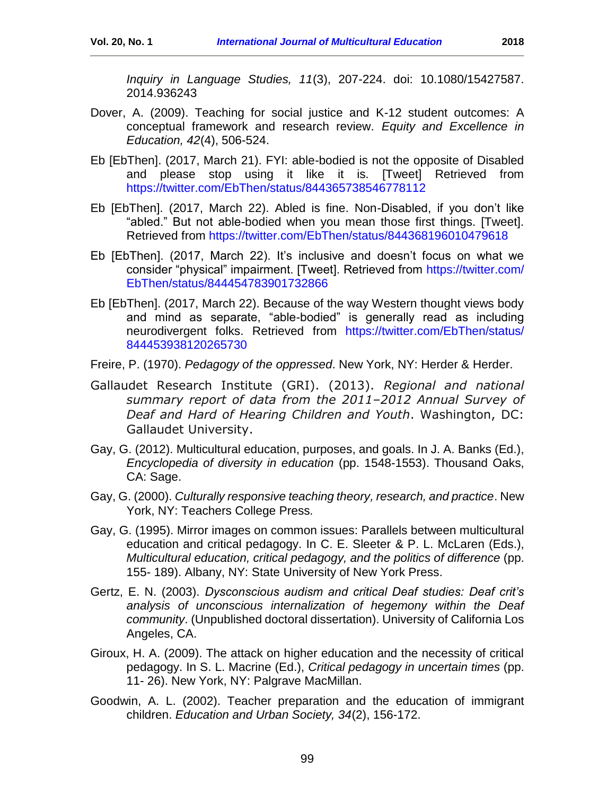- Dover, A. (2009). Teaching for social justice and K-12 student outcomes: A conceptual framework and research review. *Equity and Excellence in Education, 42*(4), 506-524.
- Eb [EbThen]. (2017, March 21). FYI: able-bodied is not the opposite of Disabled and please stop using it like it is. [Tweet] Retrieved from <https://twitter.com/EbThen/status/844365738546778112>
- Eb [EbThen]. (2017, March 22). Abled is fine. Non-Disabled, if you don't like "abled." But not able-bodied when you mean those first things. [Tweet]. Retrieved from<https://twitter.com/EbThen/status/844368196010479618>
- Eb [EbThen]. (2017, March 22). It's inclusive and doesn't focus on what we consider "physical" impairment. [Tweet]. Retrieved from [https://twitter.com/](https://twitter.com/%20EbThen/status/844454783901732866)  [EbThen/status/844454783901732866](https://twitter.com/%20EbThen/status/844454783901732866)
- Eb [EbThen]. (2017, March 22). Because of the way Western thought views body and mind as separate, "able-bodied" is generally read as including neurodivergent folks. Retrieved from [https://twitter.com/EbThen/status/](https://twitter.com/EbThen/status/%20844453938120265730)  [844453938120265730](https://twitter.com/EbThen/status/%20844453938120265730)
- Freire, P. (1970). *Pedagogy of the oppressed*. New York, NY: Herder & Herder.
- Gallaudet Research Institute (GRI). (2013). *Regional and national summary report of data from the 2011–2012 Annual Survey of Deaf and Hard of Hearing Children and Youth*. Washington, DC: Gallaudet University.
- Gay, G. (2012). Multicultural education, purposes, and goals. In J. A. Banks (Ed.), *Encyclopedia of diversity in education* (pp. 1548-1553). Thousand Oaks, CA: Sage.
- Gay, G. (2000). *Culturally responsive teaching theory, research, and practice*. New York, NY: Teachers College Press*.*
- Gay, G. (1995). Mirror images on common issues: Parallels between multicultural education and critical pedagogy. In C. E. Sleeter & P. L. McLaren (Eds.), *Multicultural education, critical pedagogy, and the politics of difference* (pp. 155- 189). Albany, NY: State University of New York Press.
- Gertz, E. N. (2003). *Dysconscious audism and critical Deaf studies: Deaf crit's analysis of unconscious internalization of hegemony within the Deaf community*. (Unpublished doctoral dissertation). University of California Los Angeles, CA.
- Giroux, H. A. (2009). The attack on higher education and the necessity of critical pedagogy. In S. L. Macrine (Ed.), *Critical pedagogy in uncertain times* (pp. 11- 26). New York, NY: Palgrave MacMillan.
- Goodwin, A. L. (2002). Teacher preparation and the education of immigrant children. *Education and Urban Society, 34*(2), 156-172.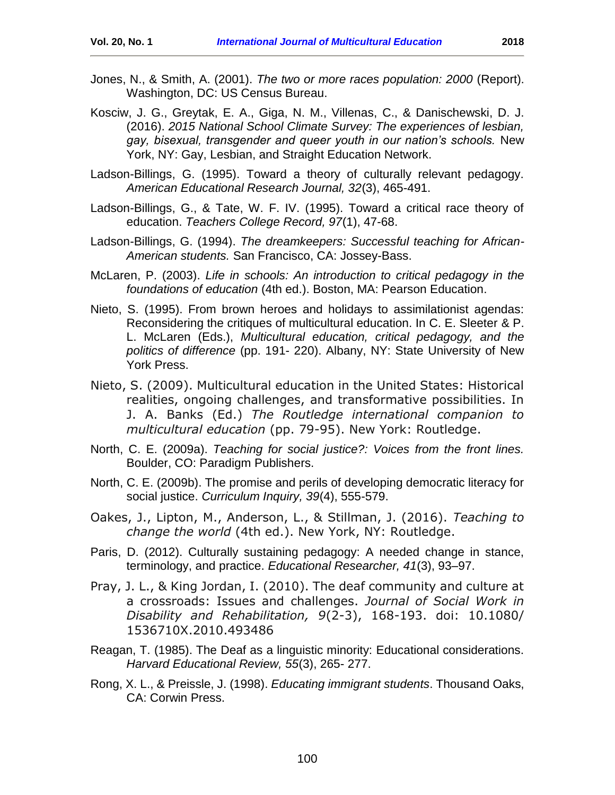- Jones, N., & Smith, A. (2001). *The two or more races population: 2000* (Report). Washington, DC: US Census Bureau.
- Kosciw, J. G., Greytak, E. A., Giga, N. M., Villenas, C., & Danischewski, D. J. (2016). *2015 National School Climate Survey: The experiences of lesbian, gay, bisexual, transgender and queer youth in our nation's schools.* New York, NY: Gay, Lesbian, and Straight Education Network.
- Ladson-Billings, G. (1995). Toward a theory of culturally relevant pedagogy. *American Educational Research Journal, 32*(3), 465-491.
- Ladson-Billings, G., & Tate, W. F. IV. (1995). Toward a critical race theory of education. *Teachers College Record, 97*(1), 47-68.
- Ladson-Billings, G. (1994). *The dreamkeepers: Successful teaching for African-American students.* San Francisco, CA: Jossey-Bass.
- McLaren, P. (2003). *Life in schools: An introduction to critical pedagogy in the foundations of education* (4th ed.). Boston, MA: Pearson Education.
- Nieto, S. (1995). From brown heroes and holidays to assimilationist agendas: Reconsidering the critiques of multicultural education. In C. E. Sleeter & P. L. McLaren (Eds.), *Multicultural education, critical pedagogy, and the politics of difference* (pp. 191- 220). Albany, NY: State University of New York Press.
- Nieto, S. (2009). Multicultural education in the United States: Historical realities, ongoing challenges, and transformative possibilities. In J. A. Banks (Ed.) *The Routledge international companion to multicultural education* (pp. 79-95). New York: Routledge.
- North, C. E. (2009a). *Teaching for social justice?: Voices from the front lines.* Boulder, CO: Paradigm Publishers.
- North, C. E. (2009b). The promise and perils of developing democratic literacy for social justice. *Curriculum Inquiry, 39*(4), 555-579.
- Oakes, J., Lipton, M., Anderson, L., & Stillman, J. (2016). *Teaching to change the world* (4th ed.). New York, NY: Routledge.
- Paris, D. (2012). Culturally sustaining pedagogy: A needed change in stance, terminology, and practice. *Educational Researcher, 41*(3), 93–97.
- Pray, J. L., & King Jordan, I. (2010). The deaf community and culture at a crossroads: Issues and challenges. *Journal of Social Work in Disability and Rehabilitation, 9*(2-3), 168-193. doi: 10.1080/ 1536710X.2010.493486
- Reagan, T. (1985). The Deaf as a linguistic minority: Educational considerations. *Harvard Educational Review, 55*(3), 265- 277.
- Rong, X. L., & Preissle, J. (1998). *Educating immigrant students*. Thousand Oaks, CA: Corwin Press.